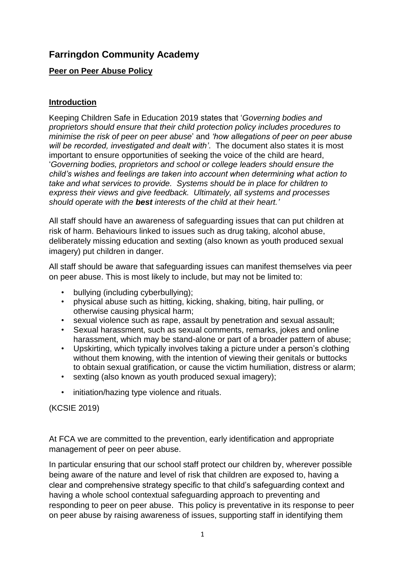# **Farringdon Community Academy**

### **Peer on Peer Abuse Policy**

#### **Introduction**

Keeping Children Safe in Education 2019 states that '*Governing bodies and proprietors should ensure that their child protection policy includes procedures to minimise the risk of peer on peer abuse*' and *'how allegations of peer on peer abuse will be recorded, investigated and dealt with'*. The document also states it is most important to ensure opportunities of seeking the voice of the child are heard, '*Governing bodies, proprietors and school or college leaders should ensure the child's wishes and feelings are taken into account when determining what action to take and what services to provide. Systems should be in place for children to express their views and give feedback. Ultimately, all systems and processes should operate with the best interests of the child at their heart.'*

All staff should have an awareness of safeguarding issues that can put children at risk of harm. Behaviours linked to issues such as drug taking, alcohol abuse, deliberately missing education and sexting (also known as youth produced sexual imagery) put children in danger.

All staff should be aware that safeguarding issues can manifest themselves via peer on peer abuse. This is most likely to include, but may not be limited to:

- bullying (including cyberbullying);
- physical abuse such as hitting, kicking, shaking, biting, hair pulling, or otherwise causing physical harm;
- sexual violence such as rape, assault by penetration and sexual assault;
- Sexual harassment, such as sexual comments, remarks, jokes and online harassment, which may be stand-alone or part of a broader pattern of abuse;
- Upskirting, which typically involves taking a picture under a person's clothing without them knowing, with the intention of viewing their genitals or buttocks to obtain sexual gratification, or cause the victim humiliation, distress or alarm;
- sexting (also known as youth produced sexual imagery);
- initiation/hazing type violence and rituals.

(KCSIE 2019)

At FCA we are committed to the prevention, early identification and appropriate management of peer on peer abuse.

In particular ensuring that our school staff protect our children by, wherever possible being aware of the nature and level of risk that children are exposed to, having a clear and comprehensive strategy specific to that child's safeguarding context and having a whole school contextual safeguarding approach to preventing and responding to peer on peer abuse. This policy is preventative in its response to peer on peer abuse by raising awareness of issues, supporting staff in identifying them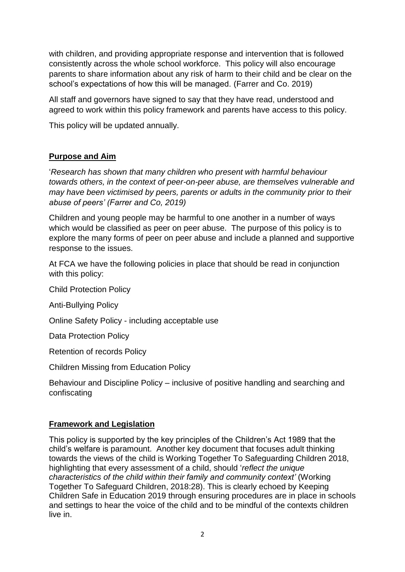with children, and providing appropriate response and intervention that is followed consistently across the whole school workforce. This policy will also encourage parents to share information about any risk of harm to their child and be clear on the school's expectations of how this will be managed. (Farrer and Co. 2019)

All staff and governors have signed to say that they have read, understood and agreed to work within this policy framework and parents have access to this policy.

This policy will be updated annually.

### **Purpose and Aim**

'*Research has shown that many children who present with harmful behaviour towards others, in the context of peer-on-peer abuse, are themselves vulnerable and may have been victimised by peers, parents or adults in the community prior to their abuse of peers' (Farrer and Co, 2019)*

Children and young people may be harmful to one another in a number of ways which would be classified as peer on peer abuse. The purpose of this policy is to explore the many forms of peer on peer abuse and include a planned and supportive response to the issues.

At FCA we have the following policies in place that should be read in conjunction with this policy:

Child Protection Policy

Anti-Bullying Policy

Online Safety Policy - including acceptable use

Data Protection Policy

Retention of records Policy

Children Missing from Education Policy

Behaviour and Discipline Policy – inclusive of positive handling and searching and confiscating

### **Framework and Legislation**

This policy is supported by the key principles of the Children's Act 1989 that the child's welfare is paramount. Another key document that focuses adult thinking towards the views of the child is Working Together To Safeguarding Children 2018, highlighting that every assessment of a child, should '*reflect the unique characteristics of the child within their family and community context'* (Working Together To Safeguard Children, 2018:28). This is clearly echoed by Keeping Children Safe in Education 2019 through ensuring procedures are in place in schools and settings to hear the voice of the child and to be mindful of the contexts children live in.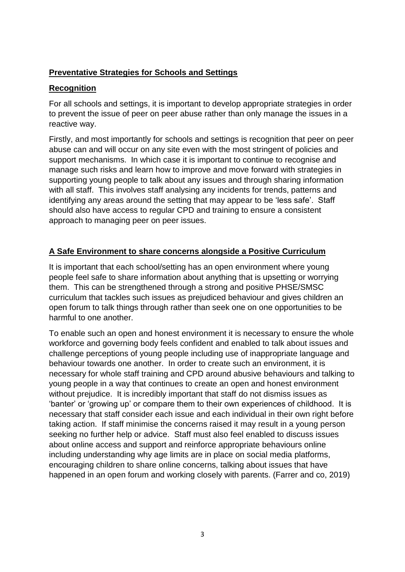### **Preventative Strategies for Schools and Settings**

### **Recognition**

For all schools and settings, it is important to develop appropriate strategies in order to prevent the issue of peer on peer abuse rather than only manage the issues in a reactive way.

Firstly, and most importantly for schools and settings is recognition that peer on peer abuse can and will occur on any site even with the most stringent of policies and support mechanisms. In which case it is important to continue to recognise and manage such risks and learn how to improve and move forward with strategies in supporting young people to talk about any issues and through sharing information with all staff. This involves staff analysing any incidents for trends, patterns and identifying any areas around the setting that may appear to be 'less safe'. Staff should also have access to regular CPD and training to ensure a consistent approach to managing peer on peer issues.

### **A Safe Environment to share concerns alongside a Positive Curriculum**

It is important that each school/setting has an open environment where young people feel safe to share information about anything that is upsetting or worrying them. This can be strengthened through a strong and positive PHSE/SMSC curriculum that tackles such issues as prejudiced behaviour and gives children an open forum to talk things through rather than seek one on one opportunities to be harmful to one another.

To enable such an open and honest environment it is necessary to ensure the whole workforce and governing body feels confident and enabled to talk about issues and challenge perceptions of young people including use of inappropriate language and behaviour towards one another. In order to create such an environment, it is necessary for whole staff training and CPD around abusive behaviours and talking to young people in a way that continues to create an open and honest environment without prejudice. It is incredibly important that staff do not dismiss issues as 'banter' or 'growing up' or compare them to their own experiences of childhood. It is necessary that staff consider each issue and each individual in their own right before taking action. If staff minimise the concerns raised it may result in a young person seeking no further help or advice. Staff must also feel enabled to discuss issues about online access and support and reinforce appropriate behaviours online including understanding why age limits are in place on social media platforms, encouraging children to share online concerns, talking about issues that have happened in an open forum and working closely with parents. (Farrer and co, 2019)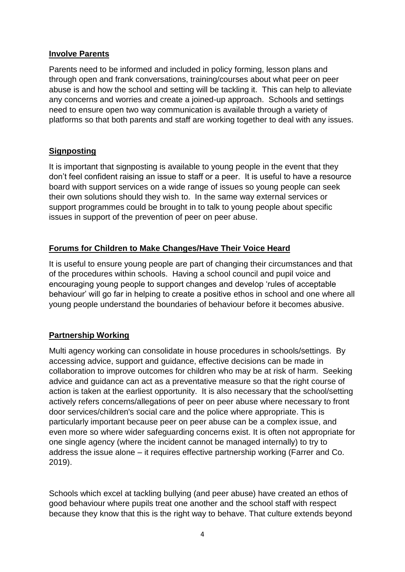#### **Involve Parents**

Parents need to be informed and included in policy forming, lesson plans and through open and frank conversations, training/courses about what peer on peer abuse is and how the school and setting will be tackling it. This can help to alleviate any concerns and worries and create a joined-up approach. Schools and settings need to ensure open two way communication is available through a variety of platforms so that both parents and staff are working together to deal with any issues.

### **Signposting**

It is important that signposting is available to young people in the event that they don't feel confident raising an issue to staff or a peer. It is useful to have a resource board with support services on a wide range of issues so young people can seek their own solutions should they wish to. In the same way external services or support programmes could be brought in to talk to young people about specific issues in support of the prevention of peer on peer abuse.

### **Forums for Children to Make Changes/Have Their Voice Heard**

It is useful to ensure young people are part of changing their circumstances and that of the procedures within schools. Having a school council and pupil voice and encouraging young people to support changes and develop 'rules of acceptable behaviour' will go far in helping to create a positive ethos in school and one where all young people understand the boundaries of behaviour before it becomes abusive.

# **Partnership Working**

Multi agency working can consolidate in house procedures in schools/settings. By accessing advice, support and guidance, effective decisions can be made in collaboration to improve outcomes for children who may be at risk of harm. Seeking advice and guidance can act as a preventative measure so that the right course of action is taken at the earliest opportunity. It is also necessary that the school/setting actively refers concerns/allegations of peer on peer abuse where necessary to front door services/children's social care and the police where appropriate. This is particularly important because peer on peer abuse can be a complex issue, and even more so where wider safeguarding concerns exist. It is often not appropriate for one single agency (where the incident cannot be managed internally) to try to address the issue alone – it requires effective partnership working (Farrer and Co. 2019).

Schools which excel at tackling bullying (and peer abuse) have created an ethos of good behaviour where pupils treat one another and the school staff with respect because they know that this is the right way to behave. That culture extends beyond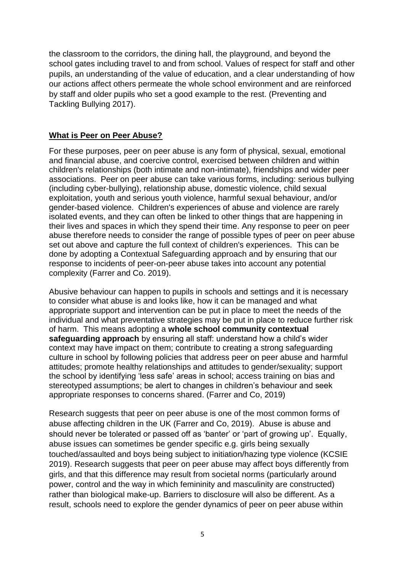the classroom to the corridors, the dining hall, the playground, and beyond the school gates including travel to and from school. Values of respect for staff and other pupils, an understanding of the value of education, and a clear understanding of how our actions affect others permeate the whole school environment and are reinforced by staff and older pupils who set a good example to the rest. (Preventing and Tackling Bullying 2017).

#### **What is Peer on Peer Abuse?**

For these purposes, peer on peer abuse is any form of physical, sexual, emotional and financial abuse, and coercive control, exercised between children and within children's relationships (both intimate and non-intimate), friendships and wider peer associations. Peer on peer abuse can take various forms, including: serious bullying (including cyber-bullying), relationship abuse, domestic violence, child sexual exploitation, youth and serious youth violence, harmful sexual behaviour, and/or gender-based violence. Children's experiences of abuse and violence are rarely isolated events, and they can often be linked to other things that are happening in their lives and spaces in which they spend their time. Any response to peer on peer abuse therefore needs to consider the range of possible types of peer on peer abuse set out above and capture the full context of children's experiences. This can be done by adopting a Contextual Safeguarding approach and by ensuring that our response to incidents of peer-on-peer abuse takes into account any potential complexity (Farrer and Co. 2019).

Abusive behaviour can happen to pupils in schools and settings and it is necessary to consider what abuse is and looks like, how it can be managed and what appropriate support and intervention can be put in place to meet the needs of the individual and what preventative strategies may be put in place to reduce further risk of harm. This means adopting a **whole school community contextual safeguarding approach** by ensuring all staff: understand how a child's wider context may have impact on them; contribute to creating a strong safeguarding culture in school by following policies that address peer on peer abuse and harmful attitudes; promote healthy relationships and attitudes to gender/sexuality; support the school by identifying 'less safe' areas in school; access training on bias and stereotyped assumptions; be alert to changes in children's behaviour and seek appropriate responses to concerns shared. (Farrer and Co, 2019)

Research suggests that peer on peer abuse is one of the most common forms of abuse affecting children in the UK (Farrer and Co, 2019). Abuse is abuse and should never be tolerated or passed off as 'banter' or 'part of growing up'. Equally, abuse issues can sometimes be gender specific e.g. girls being sexually touched/assaulted and boys being subject to initiation/hazing type violence (KCSIE 2019). Research suggests that peer on peer abuse may affect boys differently from girls, and that this difference may result from societal norms (particularly around power, control and the way in which femininity and masculinity are constructed) rather than biological make-up. Barriers to disclosure will also be different. As a result, schools need to explore the gender dynamics of peer on peer abuse within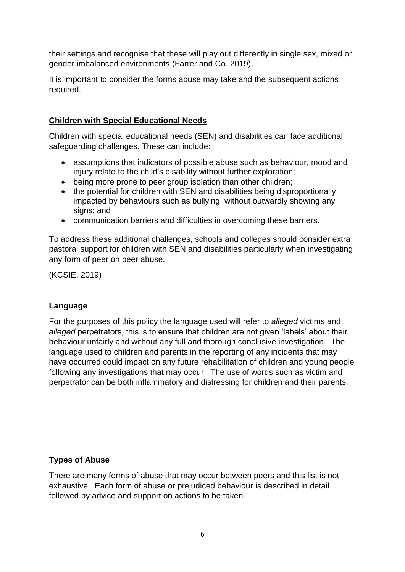their settings and recognise that these will play out differently in single sex, mixed or gender imbalanced environments (Farrer and Co. 2019).

It is important to consider the forms abuse may take and the subsequent actions required.

### **Children with Special Educational Needs**

Children with special educational needs (SEN) and disabilities can face additional safeguarding challenges. These can include:

- assumptions that indicators of possible abuse such as behaviour, mood and injury relate to the child's disability without further exploration;
- being more prone to peer group isolation than other children;
- the potential for children with SEN and disabilities being disproportionally impacted by behaviours such as bullying, without outwardly showing any signs; and
- communication barriers and difficulties in overcoming these barriers.

To address these additional challenges, schools and colleges should consider extra pastoral support for children with SEN and disabilities particularly when investigating any form of peer on peer abuse.

(KCSIE, 2019)

### **Language**

For the purposes of this policy the language used will refer to *alleged* victims and *alleged* perpetrators, this is to ensure that children are not given 'labels' about their behaviour unfairly and without any full and thorough conclusive investigation. The language used to children and parents in the reporting of any incidents that may have occurred could impact on any future rehabilitation of children and young people following any investigations that may occur. The use of words such as victim and perpetrator can be both inflammatory and distressing for children and their parents.

### **Types of Abuse**

There are many forms of abuse that may occur between peers and this list is not exhaustive. Each form of abuse or prejudiced behaviour is described in detail followed by advice and support on actions to be taken.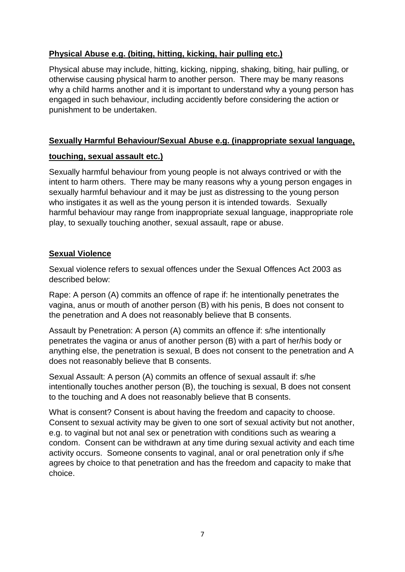# **Physical Abuse e.g. (biting, hitting, kicking, hair pulling etc.)**

Physical abuse may include, hitting, kicking, nipping, shaking, biting, hair pulling, or otherwise causing physical harm to another person. There may be many reasons why a child harms another and it is important to understand why a young person has engaged in such behaviour, including accidently before considering the action or punishment to be undertaken.

### **Sexually Harmful Behaviour/Sexual Abuse e.g. (inappropriate sexual language,**

### **touching, sexual assault etc.)**

Sexually harmful behaviour from young people is not always contrived or with the intent to harm others. There may be many reasons why a young person engages in sexually harmful behaviour and it may be just as distressing to the young person who instigates it as well as the young person it is intended towards. Sexually harmful behaviour may range from inappropriate sexual language, inappropriate role play, to sexually touching another, sexual assault, rape or abuse.

### **Sexual Violence**

Sexual violence refers to sexual offences under the Sexual Offences Act 2003 as described below:

Rape: A person (A) commits an offence of rape if: he intentionally penetrates the vagina, anus or mouth of another person (B) with his penis, B does not consent to the penetration and A does not reasonably believe that B consents.

Assault by Penetration: A person (A) commits an offence if: s/he intentionally penetrates the vagina or anus of another person (B) with a part of her/his body or anything else, the penetration is sexual, B does not consent to the penetration and A does not reasonably believe that B consents.

Sexual Assault: A person (A) commits an offence of sexual assault if: s/he intentionally touches another person (B), the touching is sexual, B does not consent to the touching and A does not reasonably believe that B consents.

What is consent? Consent is about having the freedom and capacity to choose. Consent to sexual activity may be given to one sort of sexual activity but not another, e.g. to vaginal but not anal sex or penetration with conditions such as wearing a condom. Consent can be withdrawn at any time during sexual activity and each time activity occurs. Someone consents to vaginal, anal or oral penetration only if s/he agrees by choice to that penetration and has the freedom and capacity to make that choice.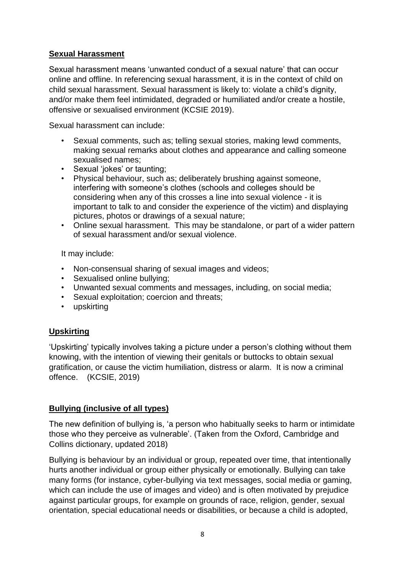### **Sexual Harassment**

Sexual harassment means 'unwanted conduct of a sexual nature' that can occur online and offline. In referencing sexual harassment, it is in the context of child on child sexual harassment. Sexual harassment is likely to: violate a child's dignity, and/or make them feel intimidated, degraded or humiliated and/or create a hostile, offensive or sexualised environment (KCSIE 2019).

Sexual harassment can include:

- Sexual comments, such as; telling sexual stories, making lewd comments, making sexual remarks about clothes and appearance and calling someone sexualised names;
- Sexual 'iokes' or taunting:
- Physical behaviour, such as; deliberately brushing against someone, interfering with someone's clothes (schools and colleges should be considering when any of this crosses a line into sexual violence - it is important to talk to and consider the experience of the victim) and displaying pictures, photos or drawings of a sexual nature;
- Online sexual harassment. This may be standalone, or part of a wider pattern of sexual harassment and/or sexual violence.

It may include:

- Non-consensual sharing of sexual images and videos;
- Sexualised online bullying;
- Unwanted sexual comments and messages, including, on social media;
- Sexual exploitation; coercion and threats;
- upskirting

### **Upskirting**

'Upskirting' typically involves taking a picture under a person's clothing without them knowing, with the intention of viewing their genitals or buttocks to obtain sexual gratification, or cause the victim humiliation, distress or alarm. It is now a criminal offence. (KCSIE, 2019)

### **Bullying (inclusive of all types)**

The new definition of bullying is, 'a person who habitually seeks to harm or intimidate those who they perceive as vulnerable'. (Taken from the Oxford, Cambridge and Collins dictionary, updated 2018)

Bullying is behaviour by an individual or group, repeated over time, that intentionally hurts another individual or group either physically or emotionally. Bullying can take many forms (for instance, cyber-bullying via text messages, social media or gaming, which can include the use of images and video) and is often motivated by prejudice against particular groups, for example on grounds of race, religion, gender, sexual orientation, special educational needs or disabilities, or because a child is adopted,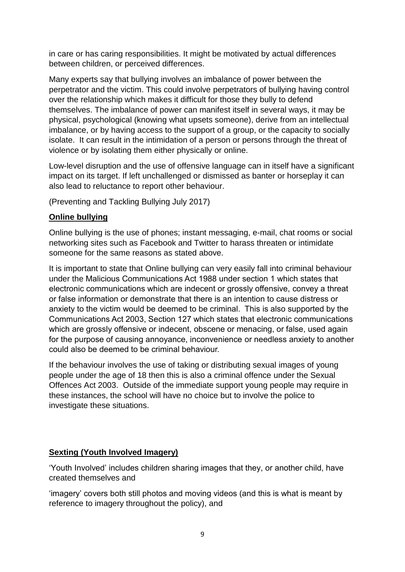in care or has caring responsibilities. It might be motivated by actual differences between children, or perceived differences.

Many experts say that bullying involves an imbalance of power between the perpetrator and the victim. This could involve perpetrators of bullying having control over the relationship which makes it difficult for those they bully to defend themselves. The imbalance of power can manifest itself in several ways, it may be physical, psychological (knowing what upsets someone), derive from an intellectual imbalance, or by having access to the support of a group, or the capacity to socially isolate. It can result in the intimidation of a person or persons through the threat of violence or by isolating them either physically or online.

Low-level disruption and the use of offensive language can in itself have a significant impact on its target. If left unchallenged or dismissed as banter or horseplay it can also lead to reluctance to report other behaviour.

(Preventing and Tackling Bullying July 2017)

### **Online bullying**

Online bullying is the use of phones; instant messaging, e-mail, chat rooms or social networking sites such as Facebook and Twitter to harass threaten or intimidate someone for the same reasons as stated above.

It is important to state that Online bullying can very easily fall into criminal behaviour under the Malicious Communications Act 1988 under section 1 which states that electronic communications which are indecent or grossly offensive, convey a threat or false information or demonstrate that there is an intention to cause distress or anxiety to the victim would be deemed to be criminal. This is also supported by the Communications Act 2003, Section 127 which states that electronic communications which are grossly offensive or indecent, obscene or menacing, or false, used again for the purpose of causing annoyance, inconvenience or needless anxiety to another could also be deemed to be criminal behaviour.

If the behaviour involves the use of taking or distributing sexual images of young people under the age of 18 then this is also a criminal offence under the Sexual Offences Act 2003. Outside of the immediate support young people may require in these instances, the school will have no choice but to involve the police to investigate these situations.

### **Sexting (Youth Involved Imagery)**

'Youth Involved' includes children sharing images that they, or another child, have created themselves and

'imagery' covers both still photos and moving videos (and this is what is meant by reference to imagery throughout the policy), and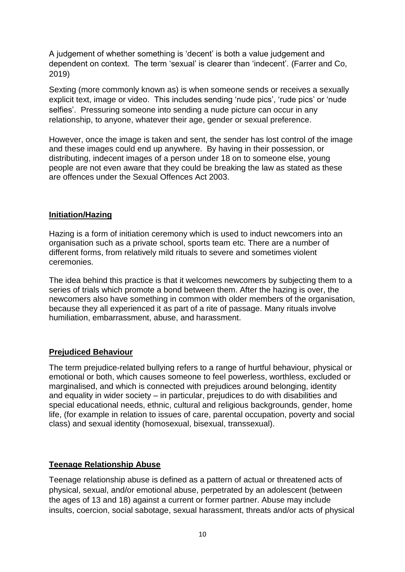A judgement of whether something is 'decent' is both a value judgement and dependent on context. The term 'sexual' is clearer than 'indecent'. (Farrer and Co, 2019)

Sexting (more commonly known as) is when someone sends or receives a sexually explicit text, image or video. This includes sending 'nude pics', 'rude pics' or 'nude selfies'. Pressuring someone into sending a nude picture can occur in any relationship, to anyone, whatever their age, gender or sexual preference.

However, once the image is taken and sent, the sender has lost control of the image and these images could end up anywhere. By having in their possession, or distributing, indecent images of a person under 18 on to someone else, young people are not even aware that they could be breaking the law as stated as these are offences under the Sexual Offences Act 2003.

#### **Initiation/Hazing**

Hazing is a form of initiation ceremony which is used to induct newcomers into an organisation such as a private school, sports team etc. There are a number of different forms, from relatively mild rituals to severe and sometimes violent ceremonies.

The idea behind this practice is that it welcomes newcomers by subjecting them to a series of trials which promote a bond between them. After the hazing is over, the newcomers also have something in common with older members of the organisation, because they all experienced it as part of a rite of passage. Many rituals involve humiliation, embarrassment, abuse, and harassment.

### **Prejudiced Behaviour**

The term prejudice-related bullying refers to a range of hurtful behaviour, physical or emotional or both, which causes someone to feel powerless, worthless, excluded or marginalised, and which is connected with prejudices around belonging, identity and equality in wider society – in particular, prejudices to do with disabilities and special educational needs, ethnic, cultural and religious backgrounds, gender, home life, (for example in relation to issues of care, parental occupation, poverty and social class) and sexual identity (homosexual, bisexual, transsexual).

### **Teenage Relationship Abuse**

Teenage relationship abuse is defined as a pattern of actual or threatened acts of physical, sexual, and/or emotional abuse, perpetrated by an adolescent (between the ages of 13 and 18) against a current or former partner. Abuse may include insults, coercion, social sabotage, sexual harassment, threats and/or acts of physical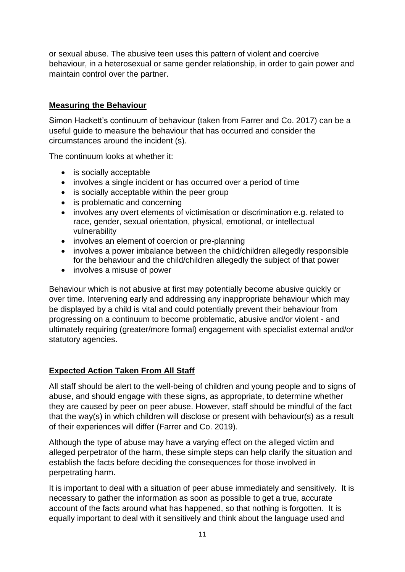or sexual abuse. The abusive teen uses this pattern of violent and coercive behaviour, in a heterosexual or same gender relationship, in order to gain power and maintain control over the partner.

#### **Measuring the Behaviour**

Simon Hackett's continuum of behaviour (taken from Farrer and Co. 2017) can be a useful guide to measure the behaviour that has occurred and consider the circumstances around the incident (s).

The continuum looks at whether it:

- is socially acceptable
- involves a single incident or has occurred over a period of time
- is socially acceptable within the peer group
- is problematic and concerning
- involves any overt elements of victimisation or discrimination e.g. related to race, gender, sexual orientation, physical, emotional, or intellectual vulnerability
- involves an element of coercion or pre-planning
- involves a power imbalance between the child/children allegedly responsible for the behaviour and the child/children allegedly the subject of that power
- involves a misuse of power

Behaviour which is not abusive at first may potentially become abusive quickly or over time. Intervening early and addressing any inappropriate behaviour which may be displayed by a child is vital and could potentially prevent their behaviour from progressing on a continuum to become problematic, abusive and/or violent - and ultimately requiring (greater/more formal) engagement with specialist external and/or statutory agencies.

### **Expected Action Taken From All Staff**

All staff should be alert to the well-being of children and young people and to signs of abuse, and should engage with these signs, as appropriate, to determine whether they are caused by peer on peer abuse. However, staff should be mindful of the fact that the way(s) in which children will disclose or present with behaviour(s) as a result of their experiences will differ (Farrer and Co. 2019).

Although the type of abuse may have a varying effect on the alleged victim and alleged perpetrator of the harm, these simple steps can help clarify the situation and establish the facts before deciding the consequences for those involved in perpetrating harm.

It is important to deal with a situation of peer abuse immediately and sensitively. It is necessary to gather the information as soon as possible to get a true, accurate account of the facts around what has happened, so that nothing is forgotten. It is equally important to deal with it sensitively and think about the language used and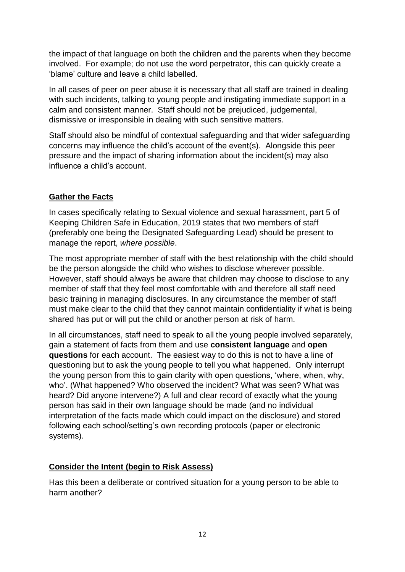the impact of that language on both the children and the parents when they become involved. For example; do not use the word perpetrator, this can quickly create a 'blame' culture and leave a child labelled.

In all cases of peer on peer abuse it is necessary that all staff are trained in dealing with such incidents, talking to young people and instigating immediate support in a calm and consistent manner. Staff should not be prejudiced, judgemental, dismissive or irresponsible in dealing with such sensitive matters.

Staff should also be mindful of contextual safeguarding and that wider safeguarding concerns may influence the child's account of the event(s). Alongside this peer pressure and the impact of sharing information about the incident(s) may also influence a child's account.

### **Gather the Facts**

In cases specifically relating to Sexual violence and sexual harassment, part 5 of Keeping Children Safe in Education, 2019 states that two members of staff (preferably one being the Designated Safeguarding Lead) should be present to manage the report, *where possible*.

The most appropriate member of staff with the best relationship with the child should be the person alongside the child who wishes to disclose wherever possible. However, staff should always be aware that children may choose to disclose to any member of staff that they feel most comfortable with and therefore all staff need basic training in managing disclosures. In any circumstance the member of staff must make clear to the child that they cannot maintain confidentiality if what is being shared has put or will put the child or another person at risk of harm.

In all circumstances, staff need to speak to all the young people involved separately, gain a statement of facts from them and use **consistent language** and **open questions** for each account. The easiest way to do this is not to have a line of questioning but to ask the young people to tell you what happened. Only interrupt the young person from this to gain clarity with open questions, 'where, when, why, who'. (What happened? Who observed the incident? What was seen? What was heard? Did anyone intervene?) A full and clear record of exactly what the young person has said in their own language should be made (and no individual interpretation of the facts made which could impact on the disclosure) and stored following each school/setting's own recording protocols (paper or electronic systems).

### **Consider the Intent (begin to Risk Assess)**

Has this been a deliberate or contrived situation for a young person to be able to harm another?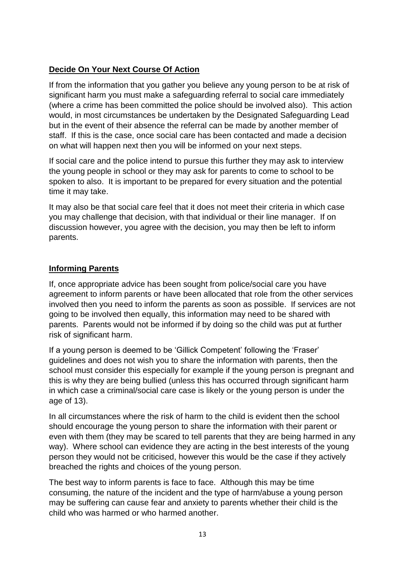# **Decide On Your Next Course Of Action**

If from the information that you gather you believe any young person to be at risk of significant harm you must make a safeguarding referral to social care immediately (where a crime has been committed the police should be involved also). This action would, in most circumstances be undertaken by the Designated Safeguarding Lead but in the event of their absence the referral can be made by another member of staff. If this is the case, once social care has been contacted and made a decision on what will happen next then you will be informed on your next steps.

If social care and the police intend to pursue this further they may ask to interview the young people in school or they may ask for parents to come to school to be spoken to also. It is important to be prepared for every situation and the potential time it may take.

It may also be that social care feel that it does not meet their criteria in which case you may challenge that decision, with that individual or their line manager. If on discussion however, you agree with the decision, you may then be left to inform parents.

### **Informing Parents**

If, once appropriate advice has been sought from police/social care you have agreement to inform parents or have been allocated that role from the other services involved then you need to inform the parents as soon as possible. If services are not going to be involved then equally, this information may need to be shared with parents. Parents would not be informed if by doing so the child was put at further risk of significant harm.

If a young person is deemed to be 'Gillick Competent' following the 'Fraser' guidelines and does not wish you to share the information with parents, then the school must consider this especially for example if the young person is pregnant and this is why they are being bullied (unless this has occurred through significant harm in which case a criminal/social care case is likely or the young person is under the age of 13).

In all circumstances where the risk of harm to the child is evident then the school should encourage the young person to share the information with their parent or even with them (they may be scared to tell parents that they are being harmed in any way). Where school can evidence they are acting in the best interests of the young person they would not be criticised, however this would be the case if they actively breached the rights and choices of the young person.

The best way to inform parents is face to face. Although this may be time consuming, the nature of the incident and the type of harm/abuse a young person may be suffering can cause fear and anxiety to parents whether their child is the child who was harmed or who harmed another.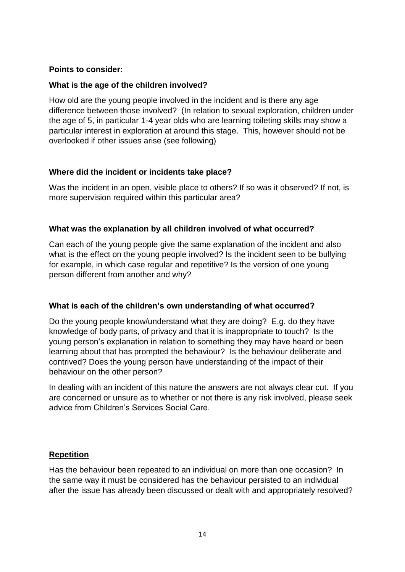#### **Points to consider:**

#### **What is the age of the children involved?**

How old are the young people involved in the incident and is there any age difference between those involved? (In relation to sexual exploration, children under the age of 5, in particular 1-4 year olds who are learning toileting skills may show a particular interest in exploration at around this stage. This, however should not be overlooked if other issues arise (see following)

#### **Where did the incident or incidents take place?**

Was the incident in an open, visible place to others? If so was it observed? If not, is more supervision required within this particular area?

#### **What was the explanation by all children involved of what occurred?**

Can each of the young people give the same explanation of the incident and also what is the effect on the young people involved? Is the incident seen to be bullying for example, in which case regular and repetitive? Is the version of one young person different from another and why?

### **What is each of the children's own understanding of what occurred?**

Do the young people know/understand what they are doing? E.g. do they have knowledge of body parts, of privacy and that it is inappropriate to touch? Is the young person's explanation in relation to something they may have heard or been learning about that has prompted the behaviour? Is the behaviour deliberate and contrived? Does the young person have understanding of the impact of their behaviour on the other person?

In dealing with an incident of this nature the answers are not always clear cut. If you are concerned or unsure as to whether or not there is any risk involved, please seek advice from Children's Services Social Care.

### **Repetition**

Has the behaviour been repeated to an individual on more than one occasion? In the same way it must be considered has the behaviour persisted to an individual after the issue has already been discussed or dealt with and appropriately resolved?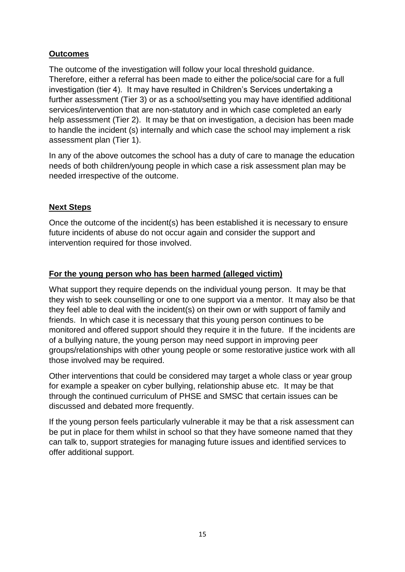# **Outcomes**

The outcome of the investigation will follow your local threshold guidance. Therefore, either a referral has been made to either the police/social care for a full investigation (tier 4). It may have resulted in Children's Services undertaking a further assessment (Tier 3) or as a school/setting you may have identified additional services/intervention that are non-statutory and in which case completed an early help assessment (Tier 2). It may be that on investigation, a decision has been made to handle the incident (s) internally and which case the school may implement a risk assessment plan (Tier 1).

In any of the above outcomes the school has a duty of care to manage the education needs of both children/young people in which case a risk assessment plan may be needed irrespective of the outcome.

### **Next Steps**

Once the outcome of the incident(s) has been established it is necessary to ensure future incidents of abuse do not occur again and consider the support and intervention required for those involved.

### **For the young person who has been harmed (alleged victim)**

What support they require depends on the individual young person. It may be that they wish to seek counselling or one to one support via a mentor. It may also be that they feel able to deal with the incident(s) on their own or with support of family and friends. In which case it is necessary that this young person continues to be monitored and offered support should they require it in the future. If the incidents are of a bullying nature, the young person may need support in improving peer groups/relationships with other young people or some restorative justice work with all those involved may be required.

Other interventions that could be considered may target a whole class or year group for example a speaker on cyber bullying, relationship abuse etc. It may be that through the continued curriculum of PHSE and SMSC that certain issues can be discussed and debated more frequently.

If the young person feels particularly vulnerable it may be that a risk assessment can be put in place for them whilst in school so that they have someone named that they can talk to, support strategies for managing future issues and identified services to offer additional support.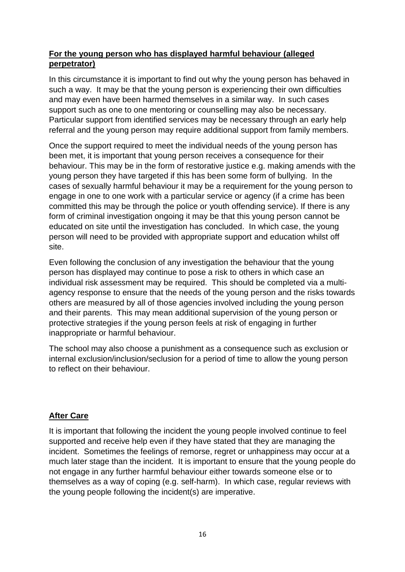### **For the young person who has displayed harmful behaviour (alleged perpetrator)**

In this circumstance it is important to find out why the young person has behaved in such a way. It may be that the young person is experiencing their own difficulties and may even have been harmed themselves in a similar way. In such cases support such as one to one mentoring or counselling may also be necessary. Particular support from identified services may be necessary through an early help referral and the young person may require additional support from family members.

Once the support required to meet the individual needs of the young person has been met, it is important that young person receives a consequence for their behaviour. This may be in the form of restorative justice e.g. making amends with the young person they have targeted if this has been some form of bullying. In the cases of sexually harmful behaviour it may be a requirement for the young person to engage in one to one work with a particular service or agency (if a crime has been committed this may be through the police or youth offending service). If there is any form of criminal investigation ongoing it may be that this young person cannot be educated on site until the investigation has concluded. In which case, the young person will need to be provided with appropriate support and education whilst off site.

Even following the conclusion of any investigation the behaviour that the young person has displayed may continue to pose a risk to others in which case an individual risk assessment may be required. This should be completed via a multiagency response to ensure that the needs of the young person and the risks towards others are measured by all of those agencies involved including the young person and their parents. This may mean additional supervision of the young person or protective strategies if the young person feels at risk of engaging in further inappropriate or harmful behaviour.

The school may also choose a punishment as a consequence such as exclusion or internal exclusion/inclusion/seclusion for a period of time to allow the young person to reflect on their behaviour.

### **After Care**

It is important that following the incident the young people involved continue to feel supported and receive help even if they have stated that they are managing the incident. Sometimes the feelings of remorse, regret or unhappiness may occur at a much later stage than the incident. It is important to ensure that the young people do not engage in any further harmful behaviour either towards someone else or to themselves as a way of coping (e.g. self-harm). In which case, regular reviews with the young people following the incident(s) are imperative.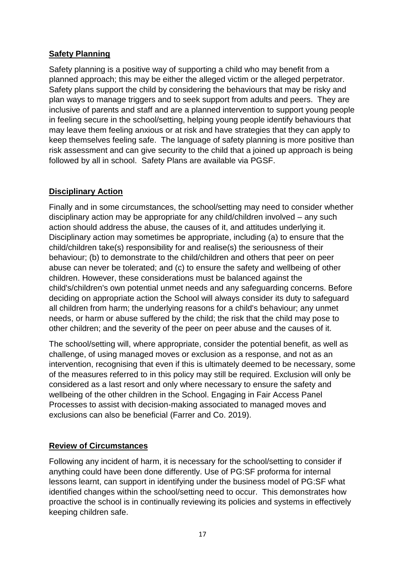### **Safety Planning**

Safety planning is a positive way of supporting a child who may benefit from a planned approach; this may be either the alleged victim or the alleged perpetrator. Safety plans support the child by considering the behaviours that may be risky and plan ways to manage triggers and to seek support from adults and peers. They are inclusive of parents and staff and are a planned intervention to support young people in feeling secure in the school/setting, helping young people identify behaviours that may leave them feeling anxious or at risk and have strategies that they can apply to keep themselves feeling safe. The language of safety planning is more positive than risk assessment and can give security to the child that a joined up approach is being followed by all in school. Safety Plans are available via PGSF.

### **Disciplinary Action**

Finally and in some circumstances, the school/setting may need to consider whether disciplinary action may be appropriate for any child/children involved – any such action should address the abuse, the causes of it, and attitudes underlying it. Disciplinary action may sometimes be appropriate, including (a) to ensure that the child/children take(s) responsibility for and realise(s) the seriousness of their behaviour; (b) to demonstrate to the child/children and others that peer on peer abuse can never be tolerated; and (c) to ensure the safety and wellbeing of other children. However, these considerations must be balanced against the child's/children's own potential unmet needs and any safeguarding concerns. Before deciding on appropriate action the School will always consider its duty to safeguard all children from harm; the underlying reasons for a child's behaviour; any unmet needs, or harm or abuse suffered by the child; the risk that the child may pose to other children; and the severity of the peer on peer abuse and the causes of it.

The school/setting will, where appropriate, consider the potential benefit, as well as challenge, of using managed moves or exclusion as a response, and not as an intervention, recognising that even if this is ultimately deemed to be necessary, some of the measures referred to in this policy may still be required. Exclusion will only be considered as a last resort and only where necessary to ensure the safety and wellbeing of the other children in the School. Engaging in Fair Access Panel Processes to assist with decision-making associated to managed moves and exclusions can also be beneficial (Farrer and Co. 2019).

### **Review of Circumstances**

Following any incident of harm, it is necessary for the school/setting to consider if anything could have been done differently. Use of PG:SF proforma for internal lessons learnt, can support in identifying under the business model of PG:SF what identified changes within the school/setting need to occur. This demonstrates how proactive the school is in continually reviewing its policies and systems in effectively keeping children safe.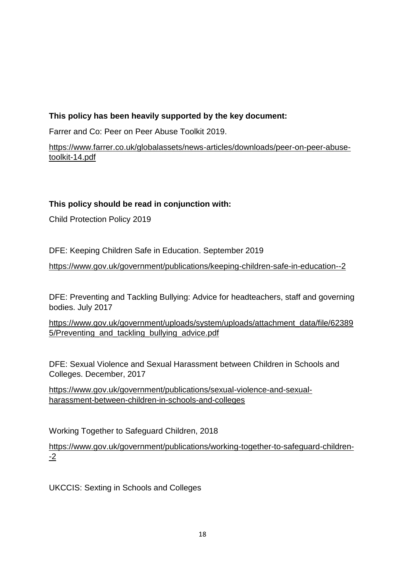# **This policy has been heavily supported by the key document:**

Farrer and Co: Peer on Peer Abuse Toolkit 2019.

[https://www.farrer.co.uk/globalassets/news-articles/downloads/peer-on-peer-abuse](https://www.farrer.co.uk/globalassets/news-articles/downloads/peer-on-peer-abuse-toolkit-14.pdf)[toolkit-14.pdf](https://www.farrer.co.uk/globalassets/news-articles/downloads/peer-on-peer-abuse-toolkit-14.pdf)

# **This policy should be read in conjunction with:**

Child Protection Policy 2019

DFE: Keeping Children Safe in Education. September 2019

<https://www.gov.uk/government/publications/keeping-children-safe-in-education--2>

DFE: Preventing and Tackling Bullying: Advice for headteachers, staff and governing bodies. July 2017

[https://www.gov.uk/government/uploads/system/uploads/attachment\\_data/file/62389](https://www.gov.uk/government/uploads/system/uploads/attachment_data/file/623895/Preventing_and_tackling_bullying_advice.pdf) [5/Preventing\\_and\\_tackling\\_bullying\\_advice.pdf](https://www.gov.uk/government/uploads/system/uploads/attachment_data/file/623895/Preventing_and_tackling_bullying_advice.pdf)

DFE: Sexual Violence and Sexual Harassment between Children in Schools and Colleges. December, 2017

[https://www.gov.uk/government/publications/sexual-violence-and-sexual](https://www.gov.uk/government/publications/sexual-violence-and-sexual-harassment-between-children-in-schools-and-colleges)[harassment-between-children-in-schools-and-colleges](https://www.gov.uk/government/publications/sexual-violence-and-sexual-harassment-between-children-in-schools-and-colleges) 

Working Together to Safeguard Children, 2018

[https://www.gov.uk/government/publications/working-together-to-safeguard-children-](https://www.gov.uk/government/publications/working-together-to-safeguard-children--2) [-2](https://www.gov.uk/government/publications/working-together-to-safeguard-children--2)

UKCCIS: Sexting in Schools and Colleges